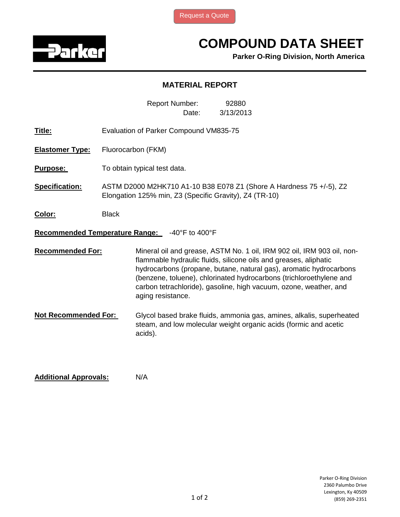

## **COMPOUND DATA SHEET**

**Parker O-Ring Division, North America**

## **MATERIAL REPORT**

Date: Report Number: 3/13/2013 92880

- **Title:** Evaluation of Parker Compound VM835-75
- **Elastomer Type:** Fluorocarbon (FKM)
- **Purpose:** To obtain typical test data.
- **Specification:** ASTM D2000 M2HK710 A1-10 B38 E078 Z1 (Shore A Hardness 75 +/-5), Z2 Elongation 125% min, Z3 (Specific Gravity), Z4 (TR-10)
- **Color:** Black

## **Recommended Temperature Range:** -40°F to 400°F

**Recommended For:** Mineral oil and grease, ASTM No. 1 oil, IRM 902 oil, IRM 903 oil, nonflammable hydraulic fluids, silicone oils and greases, aliphatic hydrocarbons (propane, butane, natural gas), aromatic hydrocarbons (benzene, toluene), chlorinated hydrocarbons (trichloroethylene and carbon tetrachloride), gasoline, high vacuum, ozone, weather, and aging resistance.

**Not Recommended For:**  Glycol based brake fluids, ammonia gas, amines, alkalis, superheated steam, and low molecular weight organic acids (formic and acetic acids).

**Additional Approvals:** N/A